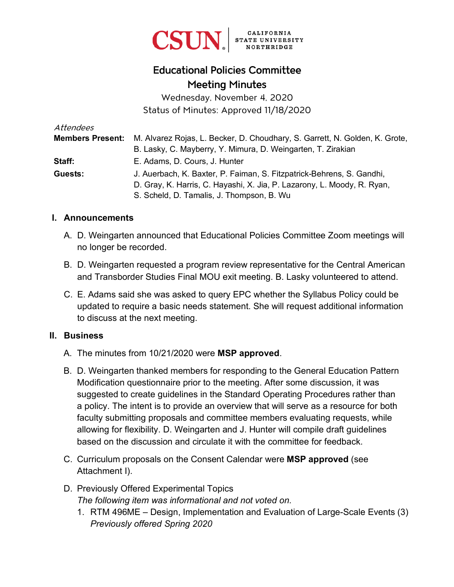

# Educational Policies Committee Meeting Minutes

Wednesday, November 4, 2020 Status of Minutes: Approved 11/18/2020

| Attendees               |                                                                             |
|-------------------------|-----------------------------------------------------------------------------|
| <b>Members Present:</b> | M. Alvarez Rojas, L. Becker, D. Choudhary, S. Garrett, N. Golden, K. Grote, |
|                         | B. Lasky, C. Mayberry, Y. Mimura, D. Weingarten, T. Zirakian                |
| Staff:                  | E. Adams, D. Cours, J. Hunter                                               |
| Guests:                 | J. Auerbach, K. Baxter, P. Faiman, S. Fitzpatrick-Behrens, S. Gandhi,       |
|                         | D. Gray, K. Harris, C. Hayashi, X. Jia, P. Lazarony, L. Moody, R. Ryan,     |
|                         | S. Scheld, D. Tamalis, J. Thompson, B. Wu                                   |

#### **I. Announcements**

- A. D. Weingarten announced that Educational Policies Committee Zoom meetings will no longer be recorded.
- B. D. Weingarten requested a program review representative for the Central American and Transborder Studies Final MOU exit meeting. B. Lasky volunteered to attend.
- C. E. Adams said she was asked to query EPC whether the Syllabus Policy could be updated to require a basic needs statement. She will request additional information to discuss at the next meeting.

#### **II. Business**

- A. The minutes from 10/21/2020 were **MSP approved**.
- B. D. Weingarten thanked members for responding to the General Education Pattern Modification questionnaire prior to the meeting. After some discussion, it was suggested to create guidelines in the Standard Operating Procedures rather than a policy. The intent is to provide an overview that will serve as a resource for both faculty submitting proposals and committee members evaluating requests, while allowing for flexibility. D. Weingarten and J. Hunter will compile draft guidelines based on the discussion and circulate it with the committee for feedback.
- C. Curriculum proposals on the Consent Calendar were **MSP approved** (see Attachment I).
- D. Previously Offered Experimental Topics *The following item was informational and not voted on.*
	- 1. RTM 496ME Design, Implementation and Evaluation of Large-Scale Events (3) *Previously offered Spring 2020*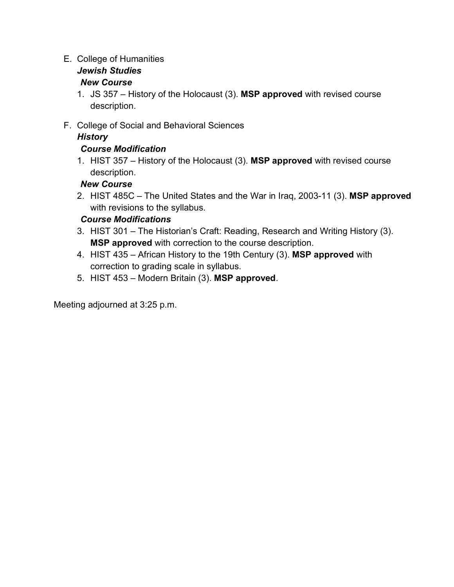#### E. College of Humanities

# *Jewish Studies*

# *New Course*

- 1. JS 357 History of the Holocaust (3). **MSP approved** with revised course description.
- F. College of Social and Behavioral Sciences

# *History*

# *Course Modification*

1. HIST 357 – History of the Holocaust (3). **MSP approved** with revised course description.

# *New Course*

2. HIST 485C – The United States and the War in Iraq, 2003-11 (3). **MSP approved** with revisions to the syllabus.

# *Course Modifications*

- 3. HIST 301 The Historian's Craft: Reading, Research and Writing History (3). **MSP approved** with correction to the course description.
- 4. HIST 435 African History to the 19th Century (3). **MSP approved** with correction to grading scale in syllabus.
- 5. HIST 453 Modern Britain (3). **MSP approved**.

Meeting adjourned at 3:25 p.m.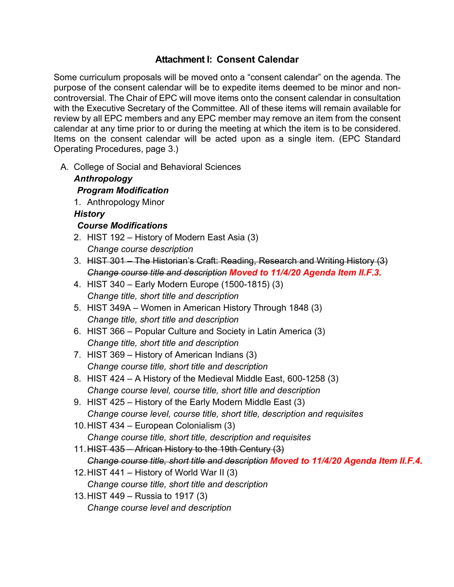#### **Attachment I: Consent Calendar**

Some curriculum proposals will be moved onto a "consent calendar" on the agenda. The purpose of the consent calendar will be to expedite items deemed to be minor and noncontroversial. The Chair of EPC will move items onto the consent calendar in consultation with the Executive Secretary of the Committee. All of these items will remain available for review by all EPC members and any EPC member may remove an item from the consent calendar at any time prior to or during the meeting at which the item is to be considered. Items on the consent calendar will be acted upon as a single item. (EPC Standard Operating Procedures, page 3.)

A. College of Social and Behavioral Sciences

#### *Anthropology Program Modification* 1. Anthropology Minor *History*

#### *Course Modifications*

- 2. HIST 192 History of Modern East Asia (3) *Change course description*
- 3. HIST 301 The Historian's Craft: Reading, Research and Writing History (3) *Change course title and description Moved to 11/4/20 Agenda Item II.F.3.*
- 4. HIST 340 Early Modern Europe (1500-1815) (3) *Change title, short title and description*
- 5. HIST 349A Women in American History Through 1848 (3) *Change title, short title and description*
- 6. HIST 366 Popular Culture and Society in Latin America (3) *Change title, short title and description*
- 7. HIST 369 History of American Indians (3) *Change course title, short title and description*
- 8. HIST 424 A History of the Medieval Middle East, 600-1258 (3) *Change course level, course title, short title and description*
- 9. HIST 425 History of the Early Modern Middle East (3) *Change course level, course title, short title, description and requisites*
- 10.HIST 434 European Colonialism (3) *Change course title, short title, description and requisites*
- 11.HIST 435 African History to the 19th Century (3) *Change course title, short title and description Moved to 11/4/20 Agenda Item II.F.4.*
- 12.HIST 441 History of World War II (3) *Change course title, short title and description*
- 13.HIST 449 Russia to 1917 (3) *Change course level and description*